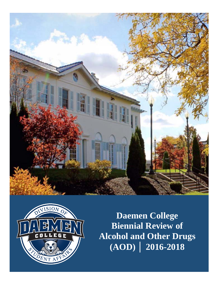



**Daemen College Biennial Review of Alcohol and Other Drugs (AOD) │ 2016-2018**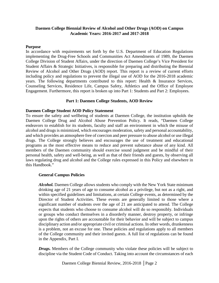# **Daemen College Biennial Review of Alcohol and Other Drugs (AOD) on Campus Academic Years: 2016-2017 and 2017-2018**

#### **Purpose**

In accordance with requirements set forth by the U.S. Department of Education Regulations implementing the Drug-Free Schools and Communities Act Amendments of 1989, the Daemen College Division of Student Affairs, under the direction of Daemen College's Vice President for Student Affairs & Strategic Initiatives, is responsible for preparing and distributing the Biennial Review of Alcohol and Other Drugs (AOD) report. This report is a review of current efforts including policy and regulations to prevent the illegal use of AOD for the 2016-2018 academic years. The following departments contributed to this report: Health & Insurance Services, Counseling Services, Residence Life, Campus Safety, Athletics and the Office of Employee Engagement. Furthermore, this report is broken up into Part 1: Students and Part 2: Employees.

## **Part 1: Daemen College Students, AOD Review**

### **Daemen College Student AOD Policy Statement**

To ensure the safety and wellbeing of students at Daemen College, the institution upholds the Daemen College Drug and Alcohol Abuse Prevention Policy. It reads, "Daemen College endeavors to establish for its students, faculty and staff an environment in which the misuse of alcohol and drugs is minimized, which encourages moderation, safety and personal accountability, and which provides an atmosphere free of coercion and peer pressure to abuse alcohol or use illegal drugs. The College strongly believes and encourages the use of treatment and educational programs as the most effective means to reduce and prevent substance abuse of any kind. All members of the Daemen community should exercise sound judgment and be mindful of their personal health, safety and well-being, as well as that of their friends and guests, by observing all laws regulating drug and alcohol and the College rules expressed in this Policy and elsewhere in this Handbook."

## **General Campus Policies**

*Alcohol.* Daemen College allows students who comply with the New York State minimum drinking age of 21 years of age to consume alcohol as a privilege, but not as a right, and within specified guidelines and limitations, at certain College events, as determined by the Director of Student Activities. These events are generally limited to those where a significant number of students over the age of 21 are anticipated to attend. The College expects that students who choose to consume alcohol will do so responsibly. Individuals or groups who conduct themselves in a disorderly manner, destroy property, or infringe upon the rights of others are accountable for their behavior and will be subject to campus disciplinary action and/or appropriate civil or criminal actions. In other words, drunkenness is a problem, not an excuse for one. These policies and regulations apply to all members of the College community and their invited guests. A full list of regulations can be found in the Appendix, Part I.

*Drugs.* Members of the College community who violate these policies will be subject to discipline via the Student Code of Conduct. Taking into account the circumstances of each

Daemen College Biennial Review, 2016-2018 │Page 2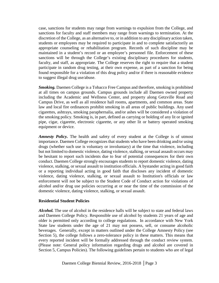case, sanctions for students may range from warnings to expulsion from the College, and sanctions for faculty and staff members may range from warnings to termination. At the discretion of the College, as an alternative to, or in addition to any disciplinary action taken, students or employees may be required to participate in and to complete satisfactorily an appropriate counseling or rehabilitation program. Records of such discipline may be maintained in a student's record or an employee's personnel file. Enforcement of these sanctions will be through the College's existing disciplinary procedures for students, faculty, and staff, as appropriate. The College reserves the right to require that a student participate in random drug testing, at their own expense, as part of a sanction for being found responsible for a violation of this drug policy and/or if there is reasonable evidence to suggest illegal drug use/abuse.

*Smoking.* Daemen College is a Tobacco Free Campus and therefore, smoking is prohibited at all times on campus grounds. Campus grounds include all Daemen owned property including the Academic and Wellness Center, and property along Getzville Road and Campus Drive, as well as all residence hall rooms, apartments, and common areas. State law and local fire ordinances prohibit smoking in all areas of public buildings. Any used cigarettes, ashtrays, smoking paraphernalia, and/or ashes will be considered a violation of the smoking policy. Smoking is, in part, defined as carrying or holding of any lit or ignited pipe, cigar, cigarette, electronic cigarette, or any other lit or battery operated smoking equipment or device.

*Amnesty Policy.* The health and safety of every student at the College is of utmost importance. Daemen College recognizes that students who have been drinking and/or using drugs (whether such use is voluntary or involuntary) at the time that violence, including but not limited to domestic violence, dating violence, stalking, or sexual assault occurs may be hesitant to report such incidents due to fear of potential consequences for their own conduct. Daemen College strongly encourages students to report domestic violence, dating violence, stalking, or sexual assault to institution officials. A bystander acting in good faith or a reporting individual acting in good faith that discloses any incident of domestic violence, dating violence, stalking, or sexual assault to Institution's officials or law enforcement will not be subject to the Student Code of Conduct action for violations of alcohol and/or drug use policies occurring at or near the time of the commission of the domestic violence, dating violence, stalking, or sexual assault.

## **Residential Student Policies**

*Alcohol.* The use of alcohol in the residence halls will be subject to state and federal laws and Daemen College Policy. Responsible use of alcohol by students 21 years of age and older is permitted only according to college regulations. In accordance with New York State law students under the age of 21 may not possess, sell, or consume alcoholic beverages. Generally, except in matters outlined under the College Amnesty Policy (see Section 5), the college follows a zero-tolerance policy in these matters. This means that every reported incident will be formally addressed through the conduct review system. (Please note: General policy information regarding drugs and alcohol are covered in Section 5, Campus Policies). The following guidelines pertain to students who are of legal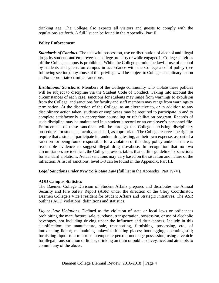drinking age. The College also expects all visitors and guests to comply with the regulations set forth. A full list can be found in the Appendix, Part II.

# **Policy Enforcement**

*Standards of Conduct.* The unlawful possession, use or distribution of alcohol and illegal drugs by students and employees on college property or while engaged in College activities off the College campus is prohibited. While the College permits the lawful use of alcohol by students and guests on campus in accordance with the College alcohol policy (see following section), any abuse of this privilege will be subject to College disciplinary action and/or appropriate criminal sanctions.

*Institutional Sanctions.* Members of the College community who violate these policies will be subject to discipline via the Student Code of Conduct. Taking into account the circumstances of each case, sanctions for students may range from warnings to expulsion from the College, and sanctions for faculty and staff members may range from warnings to termination. At the discretion of the College, as an alternative to, or in addition to any disciplinary action taken, students or employees may be required to participate in and to complete satisfactorily an appropriate counseling or rehabilitation program. Records of such discipline may be maintained in a student's record or an employee's personnel file. Enforcement of these sanctions will be through the College's existing disciplinary procedures for students, faculty, and staff, as appropriate. The College reserves the right to require that a student participate in random drug testing, at their own expense, as part of a sanction for being found responsible for a violation of this drug policy and/or if there is reasonable evidence to suggest illegal drug use/abuse. In recognition that no two circumstances are identical, the College provides tables that outline guideline for sanctions for standard violations. Actual sanctions may vary based on the situation and nature of the infraction. A list of sanctions, level 1-3 can be found in the Appendix, Part III.

*Legal Sanctions under New York State Law* (full list in the Appendix, Part IV-V).

# **AOD Campus Statistics**

The Daemen College Division of Student Affairs prepares and distributes the Annual Security and Fire Safety Report (ASR) under the direction of the Clery Coordinator, Daemen College's Vice President for Student Affairs and Strategic Initiatives. The ASR outlines AOD violations, definitions and statistics.

*Liquor Law Violations.* Defined as the violation of state or local laws or ordinances prohibiting the manufacture, sale, purchase, transportation, possession, or use of alcoholic beverages, not including driving under the influence and drunkenness. Include in this classification: the manufacture, sale, transporting, furnishing, possessing, etc., of intoxicating liquor; maintaining unlawful drinking places; bootlegging; operating still; furnishing liquor to a minor or intemperate person; underage possession; using a vehicle for illegal transportation of liquor; drinking on train or public conveyance; and attempts to commit any of the above.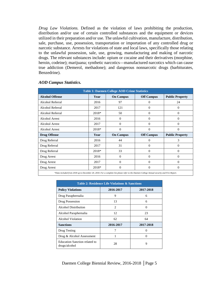*Drug Law Violations.* Defined as the violation of laws prohibiting the production, distribution and/or use of certain controlled substances and the equipment or devices utilized in their preparation and/or use. The unlawful cultivation, manufacture, distribution, sale, purchase, use, possession, transportation or importation of any controlled drug or narcotic substance. Arrests for violations of state and local laws, specifically those relating to the unlawful possession, sale, use, growing, manufacturing and making of narcotic drugs. The relevant substances include: opium or cocaine and their derivatives (morphine, heroin, codeine); marijuana; synthetic narcotics—manufactured narcotics which can cause true addiction (Demerol, methadone); and dangerous nonnarcotic drugs (barbiturates, Benzedrine).

| <b>Table 1: Daemen College AOD Crime Statistics</b> |       |                  |                   |                        |  |  |  |  |  |  |  |
|-----------------------------------------------------|-------|------------------|-------------------|------------------------|--|--|--|--|--|--|--|
| <b>Alcohol Offense</b>                              | Year  | <b>On Campus</b> | <b>Off Campus</b> | <b>Public Property</b> |  |  |  |  |  |  |  |
| Alcohol Referral                                    | 2016  | 97               | $\Omega$          | 24                     |  |  |  |  |  |  |  |
| Alcohol Referral                                    | 2017  | 121              | $\overline{0}$    | $\mathbf{0}$           |  |  |  |  |  |  |  |
| Alcohol Referral                                    | 2018* | 50               | $\Omega$          | $\Omega$               |  |  |  |  |  |  |  |
| <b>Alcohol Arrest</b>                               | 2016  | $\overline{0}$   | $\overline{0}$    | $\theta$               |  |  |  |  |  |  |  |
| Alcohol Arrest                                      | 2017  | $\Omega$         | $\Omega$          | $\Omega$               |  |  |  |  |  |  |  |
| <b>Alcohol Arrest</b>                               | 2018* | $\Omega$         | $\Omega$          | $\Omega$               |  |  |  |  |  |  |  |
| <b>Drug Offense</b>                                 | Year  | <b>On Campus</b> | <b>Off Campus</b> | <b>Public Property</b> |  |  |  |  |  |  |  |
| Drug Referral                                       | 2016  | 44               | $\Omega$          | 3                      |  |  |  |  |  |  |  |
| Drug Referral                                       | 2017  | 31               | $\overline{0}$    | $\overline{0}$         |  |  |  |  |  |  |  |
| Drug Referral                                       | 2018* | 33               | $\Omega$          | $\theta$               |  |  |  |  |  |  |  |
| Drug Arrest                                         | 2016  | $\mathbf{0}$     | $\theta$          | $\Omega$               |  |  |  |  |  |  |  |
| Drug Arrest                                         | 2017  | $\Omega$         | $\Omega$          | $\Omega$               |  |  |  |  |  |  |  |
| Drug Arrest                                         | 2018* | $\Omega$         | $\Omega$          | $\Omega$               |  |  |  |  |  |  |  |

### *AOD Campus Statistics.*

*\*Data included from 2018 up to December 20, 2018. For a complete list please refer to the Daemen College Annual security and Fire Report.*

| <b>Table 2: Residence Life Violations &amp; Sanctions</b> |                |           |  |  |  |  |  |  |  |  |
|-----------------------------------------------------------|----------------|-----------|--|--|--|--|--|--|--|--|
| <b>Policy Violations</b>                                  | 2016-2017      | 2017-2018 |  |  |  |  |  |  |  |  |
| Drug Paraphernalia                                        | 9              | 6         |  |  |  |  |  |  |  |  |
| Drug Possession                                           | 13             | 6         |  |  |  |  |  |  |  |  |
| Alcohol Distribution                                      | $\overline{c}$ | $\Omega$  |  |  |  |  |  |  |  |  |
| Alcohol Paraphernalia                                     | 12             | 23        |  |  |  |  |  |  |  |  |
| <b>Alcohol Violation</b>                                  | 62             | 64        |  |  |  |  |  |  |  |  |
| <b>Sanctions</b>                                          | 2016-2017      | 2017-2018 |  |  |  |  |  |  |  |  |
| Drug Testing                                              | 7              | 0         |  |  |  |  |  |  |  |  |
| Drug & Alcohol Assessment                                 |                | 0         |  |  |  |  |  |  |  |  |
| <b>Education Sanction related to</b><br>drugs/alcohol     | 28             | 9         |  |  |  |  |  |  |  |  |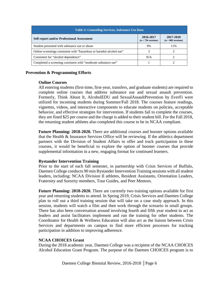| <b>Table 3: Counseling Services, Substance Use Data</b>              |                                   |                                   |  |  |  |  |  |  |  |  |
|----------------------------------------------------------------------|-----------------------------------|-----------------------------------|--|--|--|--|--|--|--|--|
| <b>Self-report and/or Professional Assessment</b>                    | 2016-2017<br>$(n = 794$ sessions) | 2017-2018<br>$(n = 869$ sessions) |  |  |  |  |  |  |  |  |
| Student presented with substance use or abuse                        | 9%                                | 11%                               |  |  |  |  |  |  |  |  |
| Online screenings consistent with "hazardous or harmful alcohol use" |                                   |                                   |  |  |  |  |  |  |  |  |
| Consistent for "alcohol dependence"                                  | N/A                               |                                   |  |  |  |  |  |  |  |  |
| Completed a screening consistent with "moderate substance use"       |                                   |                                   |  |  |  |  |  |  |  |  |

## **Prevention & Programming Efforts**

## **Online Courses**

All entering students (first-time, first-year, transfers, and graduate students) are required to complete online courses that address substance use and sexual assault prevention. Formerly, Think About It, AlcoholEDU and SexualAssaultPrevention by EverFi were utilized for incoming students during Summer/Fall 2018. The courses feature readings, vignettes, videos, and interactive components to educate students on policies, acceptable behavior, and effective strategies for intervention. If students fail to complete the courses, they are fined \$25 per course and the charge is added to their student bill. For the Fall 2018, the returning student athletes also completed this course to be in NCAA compliant.

**Future Planning: 2018-2020.** There are additional courses and booster options available that the Health & Insurance Services Office will be reviewing. If the athletics department partners with the Division of Student Affairs to offer and track participation in these courses, it would be beneficial to explore the option of booster courses that provide supplemental information in a new, engaging format for continued learners.

# **Bystander Intervention Training**

Prior to the start of each fall semester, in partnership with Crisis Services of Buffalo, Daemen College conducts 90 min Bystander Intervention Training sessions with all student leaders, including: NCAA Division II athletes, Resident Assistants, Orientation Leaders, Fraternity and Sorority members, Tour Guides, and Peer Mentors.

**Future Planning: 2018-2020.** There are currently two training options available for first year and returning students to attend. In Spring 2019, Crisis Services and Daemen College plan to roll out a third training session that will take on a case study approach. In this session, students will watch a film and then work through the scenario in small groups. There has also been conversation around involving fourth and fifth year student to act as leaders and assist facilitators implement and run the training for other students. The Coordinator for Health & Wellness Education will also act as the liaison between Crisis Services and departments on campus to find more efficient processes for tracking participation in addition to improving adherence.

# **NCAA CHOICES Grant**

During the 2018 academic year, Daemen College was a recipient of the NCAA CHOICES Alcohol Education Grant Program. The purpose of the Daemen CHOICES program is to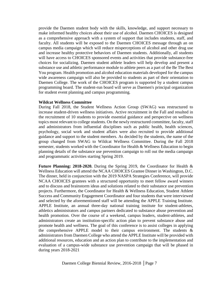provide the Daemen student body with the skills, knowledge, and support necessary to make informed healthy choices about their use of alcohol. Daemen CHOICES is designed as a comprehensive approach with a system of support that includes students, staff, and faculty. All students will be exposed to the Daemen CHOICES message through an on campus media campaign which will reduce misperceptions of alcohol and other drug use and increase healthy protective behaviors of Daemen students. Additionally, all students will have access to CHOICES sponsored events and activities that provide substance-free choices for socializing. Daemen student athlete leaders will help develop and present a substance use and athletic performance module to athlete peers as a part of the Be The Best You program. Health promotion and alcohol education materials developed for the campus wide awareness campaign will also be provided to students as part of their orientation to Daemen College. The work of the CHOICES program is supported by a student campus programming board. The student-run board will serve as Daemen's principal organization for student event planning and campus programming.

#### **Wildcat Wellness Committee**

During Fall 2018, the Student Wellness Action Group (SWAG) was restructured to increase student-driven wellness initiatives. Active recruitment in the Fall and resulted in the recruitment of 10 students to provide essential guidance and perspective on wellness topics most relevant to college students. On the newly restructured committee, faculty, staff and administrators from influential disciplines such as public health, health sciences, psychology, social work and student affairs were also recruited to provide additional guidance and support to the student members. As decided by the students, the name of the group changed from SWAG to Wildcat Wellness Committee. During the Fall 2018 semester, students worked with the Coordinator for Health & Wellness Education to begin planning details of the substance use prevention campaign to roll out the media campaign and programmatic activities starting Spring 2019.

**Future Planning: 2018-2020.** During the Spring 2019, the Coordinator for Health & Wellness Education will attend the NCAA CHOICES Grantee Dinner in Washington, D.C. The dinner, held in conjunction with the 2019 NASPA Strategies Conference, will provide NCAA CHOICES grantees with a structured opportunity to meet fellow award winners and to discuss and brainstorm ideas and solutions related to their substance use prevention projects. Furthermore, the Coordinator for Health & Wellness Education, Student Athlete Success and Community Engagement Coordinator and four students that were interviewed and selected by the aforementioned staff will be attending the APPLE Training Institute. APPLE Institute, an annual three-day national training institute for student-athletes, athletics administrators and campus partners dedicated to substance abuse prevention and health promotion. Over the course of a weekend, campus leaders, student-athletes, and administrators create an institution-specific action plan to prevent substance abuse and promote health and wellness. The goal of this conference is to assist colleges in applying the comprehensive APPLE model to their campus environment. The students & administrators from Daemen College who attend the APPLE Institute will be provided with additional resources, education and an action plan to contribute to the implementation and evaluation of a campus-wide substance use prevention campaign that will be phased in during years 2018-2021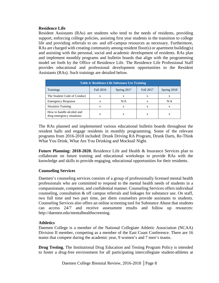## **Residence Life**

Resident Assistants (RAs) are students who tend to the needs of residents, providing support, enforcing college policies, assisting first year students in the transition to college life and providing referrals to on- and off-campus resources as necessary. Furthermore, RAs are charged with creating community among resident floor(s) or apartment building(s) and assisting with the personal, social and academic development of residents. RAs plan and implement monthly programs and bulletin boards that align with the programming model set forth by the Office of Residence Life. The Residence Life Professional Staff provides educational and professional development opportunities to the Resident Assistants (RAs). Such trainings are detailed below.

| <b>Table 4: Residence Life Substance Use Training</b>  |           |             |           |             |  |  |  |  |  |  |  |
|--------------------------------------------------------|-----------|-------------|-----------|-------------|--|--|--|--|--|--|--|
| Trainings                                              | Fall 2016 | Spring 2017 | Fall 2017 | Spring 2018 |  |  |  |  |  |  |  |
| The Student Code of Conduct                            | X         | X           | X         | X           |  |  |  |  |  |  |  |
| <b>Emergency Response</b>                              | X         | N/A         | X         | N/A         |  |  |  |  |  |  |  |
| <b>Situation Training</b>                              | X         | x           | X         | X           |  |  |  |  |  |  |  |
| How to handle alcohol and<br>drug emergency situations | X         | X           | X         | X           |  |  |  |  |  |  |  |

The RAs planned and implemented various educational bulletin boards throughout the resident halls and engage residents in monthly programming. Some of the relevant programs from 2016-2018 included: Drunk Driving RA Program, Drunk Darts, Re-Think What You Drink, What Are You Drinking and Mocktail Night.

**Future Planning: 2018-2020.** Residence Life and Health & Insurance Services plan to collaborate on future training and educational workshops to provide RAs with the knowledge and skills to provide engaging, educational opportunities for their residents.

## **Counseling Services**

Daemen's counseling services consists of a group of professionally licensed mental health professionals who are committed to respond to the mental health needs of students in a compassionate, competent, and confidential manner. Counseling Services offers individual counseling, consultation & off campus referrals and linkages for substance use. On staff, two full time and two part time, per diem counselors provide assistants to students. Counseling Services also offers an online screening tool for Substance Abuse that students can access 24/7 and receive assessment results and follow up resources: [http://daemen.edu/mentalhealthscreening.](http://daemen.edu/mentalhealthscreening)

# **Athletics**

Daemen College is a member of the National Collegiate Athletic Association (NCAA) Division II member, competing as a member of the East Coast Conference. There are 16 teams that compete during the academic year, 9 women's and 7 men's teams.

**Drug Testing.** The Institutional Drug Education and Testing Program Policy is intended to foster a drug-free environment for all participating intercollegiate student-athletes at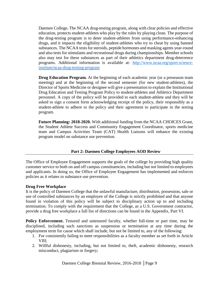Daemen College**.** The NCAA drug-testing program, along with clear policies and effective education, protects student-athletes who play by the rules by playing clean. The purpose of the drug-testing program is to deter student-athletes from using performance-enhancing drugs, and it impacts the eligibility of student-athletes who try to cheat by using banned substances. The NCAA tests for steroids, peptide hormones and masking agents year-round and also tests for stimulants and recreational drugs during championships. Member schools also may test for these substances as part of their athletics department drug-deterrence programs. Additional information is available at: [http://www.ncaa.org/sport-science](http://www.ncaa.org/sport-science-institute/ncaa-drug-testing-program)[institute/ncaa-drug-testing-program](http://www.ncaa.org/sport-science-institute/ncaa-drug-testing-program)

**Drug Education Program.** At the beginning of each academic year (or a preseason team meeting) and at the beginning of the second semester (for new student-athletes), the Director of Sports Medicine or designee will give a presentation to explain the Institutional Drug Education and Testing Program Policy to student-athletes and Athletics Department personnel. A copy of the policy will be provided to each student-athlete and they will be asked to sign a consent form acknowledging receipt of the policy, their responsibly as a student-athlete to adhere to the policy and their agreement to participate in the testing program.

**Future Planning: 2018-2020.** With additional funding from the NCAA CHOICES Grant, the Student Athlete Success and Community Engagement Coordinator, sports medicine team and Campus Activities Team (CAT) Health Liaisons will enhance the existing program model on substance use prevention.

# **Part 2: Daemen College Employees AOD Review**

The Office of Employee Engagement supports the goals of the college by providing high quality customer service to both on and off campus constituencies, including but not limited to employees and applicants. In doing so, the Office of Employee Engagement has implemented and enforces policies as it relates to substance use prevention.

# **Drug Free Workplace**

It is the policy of Daemen College that the unlawful manufacture, distribution, possession, sale or use of controlled substances by an employee of the College is strictly prohibited and that anyone found in violation of this policy will be subject to disciplinary action up to and including termination. To comply with the requirement that the College, as a U.S. Government contractor, provide a drug free workplace a full list of directions can be found in the Appendix, Part VI.

Policy Enforcement. Tenured and untenured faculty, whether full-time or part time, may be disciplined, including such sanctions as suspension or termination at any time during the employment term for cause which shall include, but not be limited to, any of the following:

- 1. For consistently failing to meet responsibilities as a faculty member as set forth in Article VIII;
- 2. Willful dishonesty, including, but not limited to, theft, academic dishonesty, research misconduct, plagiarism or forgery;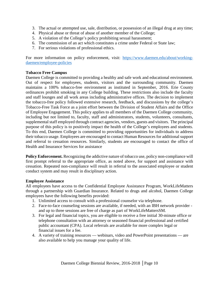- 3. The actual or attempted use, sale, distribution, or possession of an illegal drug at any time;
- 4. Physical abuse or threat of abuse of another member of the College;
- 5. A violation of the College's policy prohibiting sexual harassment;
- 6. The commission of an act which constitutes a crime under Federal or State law;
- 7. For serious violations of professional ethics.

For more information on policy enforcement, visit: [https://www.daemen.edu/about/working](https://www.daemen.edu/about/working-daemen/employee-policies)[daemen/employee-policies](https://www.daemen.edu/about/working-daemen/employee-policies)

## **Tobacco Free Campus**

Daemen College is committed to providing a healthy and safe work and educational environment. Out of respect for employees, students, visitors and the surrounding community. Daemen maintains a 100% tobacco-free environment as instituted in September, 2016. Erie County ordinances prohibit smoking in any College building. These restrictions also include the faculty and staff lounges and all work areas including administrative offices. The decision to implement the tobacco-free policy followed extensive research, feedback, and discussions by the college's Tobacco-Free Task Force as a joint effort between the Division of Student Affairs and the Office of Employee Engagement. This policy applies to all members of the Daemen College community, including but not limited to, faculty, staff and administrators, students, volunteers, consultants, supplemental staff employed through contract agencies, vendors, guests and visitors. The principal purpose of this policy is to positively impact the health of the College's employees and students. To this end, Daemen College is committed to providing opportunities for individuals to address their tobacco usage. Employees are encouraged to contact Human Resources for additional support and referral to cessation resources. Similarly, students are encouraged to contact the office of Health and Insurance Services for assistance

**Policy Enforcement.** Recognizing the addictive nature of tobacco use, policy non-compliance will first prompt referral to the appropriate office, as noted above, for support and assistance with cessation. Repeated non-compliance will result in referral to the associated employee or student conduct system and may result in disciplinary action.

## **Employee Assistance**

All employees have access to the Confidential Employee Assistance Program, WorkLifeMatters through a partnership with Guardian Insurance. Related to drugs and alcohol, Daemen College employees have the following benefits provided:

- 1. Unlimited access to consult with a professional counselor via telephone.
- 2. Face-to-face counseling sessions are available, if needed, with an IBH network provider and up to three sessions are free of charge as part of WorkLifeMattersSM.
- 3. For legal and financial topics, you are eligible to receive a free initial 30-minute office or telephone consultation with an attorney or seasoned financial professional and certified public accountant (CPA). Local referrals are available for more complex legal or financial issues for a fee.
- 4. A variety of training resources webinars, video and PowerPoint presentations are also available to help you manage your quality of life.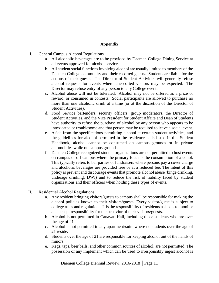# **Appendix**

- I. General Campus Alcohol Regulations
	- a. All alcoholic beverages are to be provided by Daemen College Dining Service at all events approved for alcohol service.
	- b. All student social functions involving alcohol are usually limited to members of the Daemen College community and their escorted guests. Students are liable for the actions of their guests. The Director of Student Activities will generally refuse alcohol requests for events where unescorted visitors may be expected. The Director may refuse entry of any person to any College event.
	- c. Alcohol abuse will not be tolerated. Alcohol may not be offered as a prize or reward, or consumed in contests. Social participants are allowed to purchase no more than one alcoholic drink at a time (or at the discretion of the Director of Student Activities).
	- d. Food Service bartenders, security officers, group moderators, the Director of Student Activities, and the Vice President for Student Affairs and Dean of Students have authority to refuse the purchase of alcohol by any person who appears to be intoxicated or troublesome and that person may be required to leave a social event.
	- e. Aside from the specifications permitting alcohol at certain student activities, and the guidelines for alcohol permitted in the residence halls listed in this Student Handbook, alcohol cannot be consumed on campus grounds or in private automobiles while on campus grounds.
	- f. Daemen College recognized student organizations are not permitted to host events on campus or off campus where the primary focus is the consumption of alcohol. This typically refers to bar parties or fundraisers where persons pay a cover charge and alcoholic beverages are provided free or at a reduced fee. The intent of this policy is prevent and discourage events that promote alcohol abuse (binge drinking, underage drinking, DWI) and to reduce the risk of liability faced by student organizations and their officers when holding these types of events.
- II. Residential Alcohol Regulations
	- a. Any resident bringing visitors/guests to campus shall be responsible for making the alcohol policies known to their visitors/guests. Every visitor/guest is subject to college rules and regulations. It is the responsibility of residents as hosts to monitor and accept responsibility for the behavior of their visitors/guests.
	- b. Alcohol is not permitted in Canavan Hall, including those students who are over the age of 21.
	- c. Alcohol is not permitted in any apartment/suite where no students over the age of 21 reside.
	- d. Students over the age of 21 are responsible for keeping alcohol out of the hands of minors.
	- e. Kegs, taps, beer balls, and other common sources of alcohol, are not permitted. The possession of any implement which can be used to irresponsibly ingest alcohol is

Daemen College Biennial Review, 2016-2018 │Page 11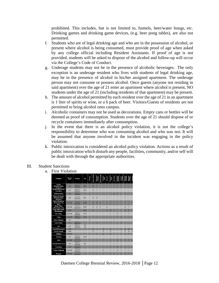prohibited. This includes, but is not limited to, funnels, beer/water bongs, etc. Drinking games and drinking game devices, (e.g. beer pong tables), are also not permitted.

- f. Students who are of legal drinking age and who are in the possession of alcohol, or present where alcohol is being consumed, must provide proof of age when asked by any college official including Resident Assistants. If proof of age is not provided, students will be asked to dispose of the alcohol and follow-up will occur via the College's Code of Conduct.
- g. Underage students may not be in the presence of alcoholic beverages. The only exception is an underage resident who lives with students of legal drinking age, may be in the presence of alcohol in his/her assigned apartment. The underage person may not consume or possess alcohol. Once guests (anyone not residing in said apartment) over the age of 21 enter an apartment where alcohol is present, NO students under the age of 21 (including residents of that apartment) may be present.
- h. The amount of alcohol permitted by each resident over the age of 21 in an apartment is 1 liter of spirits or wine, or a 6 pack of beer. Visitors/Guests of residents are not permitted to bring alcohol onto campus.
- i. Alcoholic containers may not be used as decorations. Empty cans or bottles will be deemed as proof of consumption. Students over the age of 21 should dispose of or recycle containers immediately after consumption.
- j. In the event that there is an alcohol policy violation, it is not the college's responsibility to determine who was consuming alcohol and who was not. It will be assumed that anyone involved in the incident was engaging in the policy violation.
- k. Public intoxication is considered an alcohol policy violation. Actions as a result of public intoxication which disturb any people, facilities, community, and/or self will be dealt with through the appropriate authorities.

## III. Student Sanctions

a. First Violation

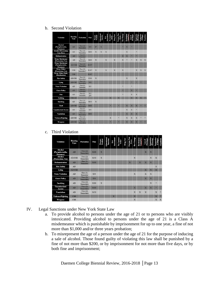#### b. Second Violation

| <b>Violation</b>                                | Hearing<br>Type | Probation                     | Fine        | Parents<br>Notified | Educational<br>Sanction | <b>HISS-DSS</b><br>DИ | No Contac<br>Order      | Drug Test               | Persona Non<br>Crata    | <b>Res Chang</b>        | Restitution<br>CommSer  | Privileges<br>Loss of    | Suspension              |                         |              |
|-------------------------------------------------|-----------------|-------------------------------|-------------|---------------------|-------------------------|-----------------------|-------------------------|-------------------------|-------------------------|-------------------------|-------------------------|--------------------------|-------------------------|-------------------------|--------------|
| Alcohol<br>(Paraphernalia,<br>Presence)         | AD              | Two(2)<br>Semesters           | \$50        | $X^*$               | $\overline{\mathbf{x}}$ |                       |                         |                         |                         | ×                       | $\overline{\mathbf{x}}$ | ×                        |                         |                         |              |
| <b>Alcohol</b> (Possession,<br>Use, Dist.)      | AD              | Two $(2)$<br>Semesters        | \$100       | $\mathbf x$         | X                       | $\mathbf x$           |                         |                         |                         |                         | $\mathbf x$             |                          | $\ddot{\phantom{1}}$    |                         |              |
| Defenestration                                  | <b>AD</b>       | One $(1)$<br>Semester         |             |                     |                         |                       |                         |                         |                         | $\mathbf x$             | $\overline{\mathbf{x}}$ |                          |                         |                         |              |
| Drug: Marijuana<br>(Possession, Use)            | <b>AD</b>       | Two $(2)$<br>Semesters        | \$100       | X                   |                         | $\mathbf{x}$          |                         | $\overline{\mathbf{x}}$ |                         | $\overline{\mathbf{x}}$ | s.                      | $\overline{\phantom{a}}$ | $\overline{\mathbf{x}}$ | $\overline{\mathbf{x}}$ | $\mathbf{x}$ |
| Drug: Marijuana<br>(Paraphernalia,<br>Presence) | AD/CSB          | Two(2)<br><b>Semesters</b>    | \$150°      |                     |                         |                       |                         |                         |                         |                         |                         |                          |                         |                         |              |
| Drug: Other<br>(Possession, Use)                | CSB             | Two $(2)$<br>Semesters*       | \$200*      | $\overline{X}$      |                         | $\overline{X}$        |                         | $\overline{\mathbf{x}}$ |                         | $\overline{\mathbf{x}}$ |                         |                          | $\mathbf x$             | $\overline{\mathbf{x}}$ | $\mathbf{x}$ |
| Drug: Other (Sale,<br>Distribution)             | CSB             |                               | \$200*      |                     |                         |                       |                         |                         |                         |                         |                         |                          |                         |                         |              |
| <b>Fire Safety</b>                              | AD/CSB          | Two $(2)$<br>Semesters        | \$500       | $\mathbf x$         |                         |                       |                         |                         |                         |                         | $\mathbf{x}$            |                          | $\mathbf x$             |                         |              |
| Lying                                           | AD/CSB          | Two(2)<br><b>Semesters</b>    | \$50        |                     |                         |                       |                         |                         |                         |                         |                         | è                        | ٠                       | ٠                       |              |
| <b>Noise Violation</b>                          | <b>AD</b>       | One(1)<br>Semester            | \$25        |                     |                         |                       |                         |                         |                         | ٠                       |                         | ٠                        |                         |                         |              |
| <b>Guest Policy</b>                             | AD              | One $(1)$<br>Semester         |             |                     |                         |                       |                         |                         |                         |                         |                         | $\overline{\mathbf{x}}$  | ٠                       |                         |              |
| Pets                                            | AD.             | One $(1)$<br>Semester         | \$25<br>p/d |                     |                         |                       |                         |                         |                         | ×                       |                         | $\overline{\mathbf{x}}$  | $\overline{\mathbf{x}}$ |                         |              |
| <b>Stalking</b>                                 | CSB/AD          |                               |             |                     |                         |                       | $\overline{\mathbf{x}}$ |                         | $\overline{\mathbf{x}}$ |                         |                         | $\overline{\mathbf{x}}$  | $\overline{\mathbf{x}}$ | $\overline{\mathbf{x}}$ |              |
| Smoking                                         | AD.             | Two $(2)$<br><b>Semesters</b> | \$150       | $\overline{X}$      |                         |                       |                         |                         |                         |                         |                         |                          |                         |                         |              |
| Theft                                           | AD/CSB          | Two $(2)$<br>Semesters        | \$100       |                     |                         |                       |                         |                         | ٠                       |                         | $\overline{\mathbf{x}}$ | $\overline{\mathbf{x}}$  | $\overline{\mathbf{x}}$ |                         |              |
| <b>Unauthorized Access</b>                      | AD              | One(1)<br>Semester            | \$50        |                     |                         |                       |                         |                         |                         |                         | $\mathbf{x}$            | $\overline{\mathbf{x}}$  | 未                       |                         |              |
| Vandalism                                       | <b>AD</b>       | Two(2)<br>Semesters           | \$100       |                     |                         |                       |                         |                         |                         |                         | $\mathbf{x}$            | $\mathbf x$              | $\mathbf x$             |                         |              |
| Violence/Fighting                               | AD/CSB          | Two(2)<br><b>Semesters</b>    |             |                     |                         |                       | $\mathbf x$             |                         | ۰                       |                         | $\mathbf{x}$            | $\overline{\mathbf{x}}$  | $\mathbf x$             |                         |              |
| Weapons                                         | AD/CSB          | Two $(2)$<br>Semesters        |             |                     |                         |                       |                         |                         |                         |                         | $\mathbf{x}$            | $\overline{\mathbf{x}}$  | $\mathbf{x}$            |                         |              |

### c. Third Violation

| <b>Violation</b>                        | Hearing<br>Type | Probation                  | Fine  | Parents<br>Notified     | Educational<br>Sanction | Assessment<br>D/A | Contact<br>Order<br>χō. | Drug Test | Persona Non<br>Grata | Res Change              | Restitution/<br>CommServ | eges<br><b>Loss of</b><br>Ĕ | suspension<br>€<br>芭    | rom<br>ę,<br>Susue      | Expulsio    |
|-----------------------------------------|-----------------|----------------------------|-------|-------------------------|-------------------------|-------------------|-------------------------|-----------|----------------------|-------------------------|--------------------------|-----------------------------|-------------------------|-------------------------|-------------|
| Alcohol<br>(Paraphernalia,<br>Presence) | AD              | Two(2)<br><b>Semesters</b> | \$100 | $\overline{\mathbf{x}}$ |                         |                   |                         |           |                      |                         |                          | $\overline{\mathbf{x}}$     | $\overline{\mathbf{x}}$ |                         |             |
| Alcohol<br>(Possession, Use)            | AD/CSB          | Two(2)<br>Semesters        | \$150 | $\overline{X}$          |                         |                   |                         |           |                      | $\overline{X}$          |                          |                             | $\overline{\mathbf{x}}$ | $\mathbf x$             |             |
| <b>Defenestration</b>                   | AD              | One(1)<br>Semester         | \$100 |                         |                         |                   |                         |           | $\mathbf x$          |                         | $\overline{\mathbf{x}}$  | $\overline{\mathbf{x}}$     | $\mathbf{x}$            |                         |             |
| <b>Fire Safety</b>                      | AD              |                            |       |                         |                         |                   |                         |           |                      |                         |                          |                             |                         | $\mathbf x$             |             |
| Lying                                   | AD/CSB          |                            |       |                         |                         |                   |                         |           |                      |                         |                          | X                           | $\overline{\mathbf{X}}$ | $\overline{\mathbf{X}}$ |             |
| <b>Noise Violation</b>                  | AD              | One(1)<br>Semester         | \$50  |                         |                         |                   |                         |           |                      | $\overline{X}$          |                          | $\overline{X}$              | $\overline{X}$          |                         |             |
| <b>Guest Policy</b>                     | AD              | Two(2)<br><b>Semesters</b> | \$50  |                         |                         |                   |                         |           |                      |                         |                          | X                           | $\mathbf{x}$            |                         |             |
| Smoking                                 | AD              | Two(2)<br>Semesters        | \$200 | X                       |                         |                   |                         |           |                      |                         |                          |                             | $\overline{\mathbf{x}}$ | 率                       |             |
| Unauthorized<br>Access                  | AD              | Two(2)<br><b>Semesters</b> | \$100 |                         |                         |                   |                         |           |                      | $\mathbf{x}$            |                          | $\mathbf x$                 | $\mathbf{x}$            |                         |             |
| Vandalism                               | AD              | Two(2)<br><b>Semesters</b> | \$150 |                         |                         |                   |                         |           |                      | $\overline{\mathbf{x}}$ | $\mathbf x$              | $\mathbf x$                 |                         | $\mathbf{x}$            | ×           |
| Violence/Fighting                       | CSB             |                            |       |                         |                         | $\mathbf x$       |                         |           |                      | $\mathbf{x}$            |                          |                             |                         | $\mathbf{x}$            |             |
| Weapons                                 | CSB             |                            |       |                         |                         |                   |                         |           |                      | $\mathbf x$             |                          |                             |                         | $\mathbf x$             | $\mathbf x$ |

- IV. Legal Sanctions under New York State Law
	- a. To provide alcohol to persons under the age of 21 or to persons who are visibly intoxicated. Providing alcohol to persons under the age of 21 is a Class A misdemeanor which is punishable by imprisonment for up to one year, a fine of not more than \$1,000 and/or three years probation;
	- b. To misrepresent the age of a person under the age of 21 for the purpose of inducing a sale of alcohol. Those found guilty of violating this law shall be punished by a fine of not more than \$200, or by imprisonment for not more than five days, or by both fine and imprisonment;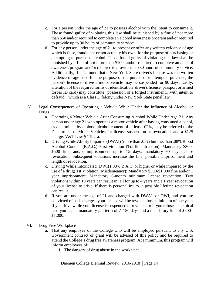- c. For a person under the age of 21 to possess alcohol with the intent to consume it. Those found guilty of violating this law shall be punished by a fine of not more than \$50 and/or required to complete an alcohol awareness program and/or required to provide up to 30 hours of community service;
- d. For any person under the age of 21 to present or offer any written evidence of age which is false, fraudulent or not actually his own, for the purpose of purchasing or attempting to purchase alcohol. Those found guilty of violating this law shall be punished by a fine of not more than \$100, and/or required to complete an alcohol awareness program and/or required to provide up to 30 hours of community service. Additionally, if it is found that a New York State driver's license was the written evidence of age used for the purpose of the purchase or attempted purchase, the person's license to drive a motor vehicle may be suspended for 90 days. Lastly, alteration of the required forms of identification (driver's license, passport or armed forces ID card) may constitute "possession of a forged instrument…with intent to defraud," which is a Class D felony under New York State penal law.
- V. Legal Consequences of Operating a Vehicle While Under the Influence of Alcohol or Drugs
	- a. Operating a Motor Vehicle After Consuming Alcohol While Under Age 21. Any person under age 21 who operates a motor vehicle after having consumed alcohol, as determined by a blood-alcohol content of at least .02%, may be referred to the Department of Motor Vehicles for license suspension or revocation, and a \$125 charge. V&T Law § 1192-a.
	- b. Driving While Ability Impaired (DWAI) (more than .05% but less than .08% Blood Alcohol Content (B.A.C.) First violation (Traffic Infraction): Mandatory \$300- \$500 fine; and/or imprisonment up to 15 days; mandatory 90 day license revocation. Subsequent violations increase the fine, possible imprisonment and length of revocation.
	- c. Driving While Intoxicated (DWI) (.08% B.A.C. or higher or while impaired by the use of a drug) 1st Violation (Misdemeanor): Mandatory \$500-\$1,000 fine and/or 1 year imprisonment; Mandatory 6-month minimum license revocation. Two violations within 10 years can result in jail for up to 4 years and a 1 year revocation of your license to drive. If there is personal injury, a possible lifetime revocation can result.
	- d. If you are under the age of 21 and charged with DWAI, or DWI, and you are convicted of such charges, your license will be revoked for a minimum of one year. If you drive while your license is suspended or revoked, or if you refuse a chemical test, you face a mandatory jail term of 7–180 days and a mandatory fine of \$500– \$1,000.
- VI. Drug Free Workplace
	- a. That any employee of the College who will be employed pursuant to any U.S. Government contract or grant will be advised of this policy and be required to attend the College's drug free awareness program. At a minimum, this program will inform employees of:
		- i. The dangers of drug abuse in the workplace;